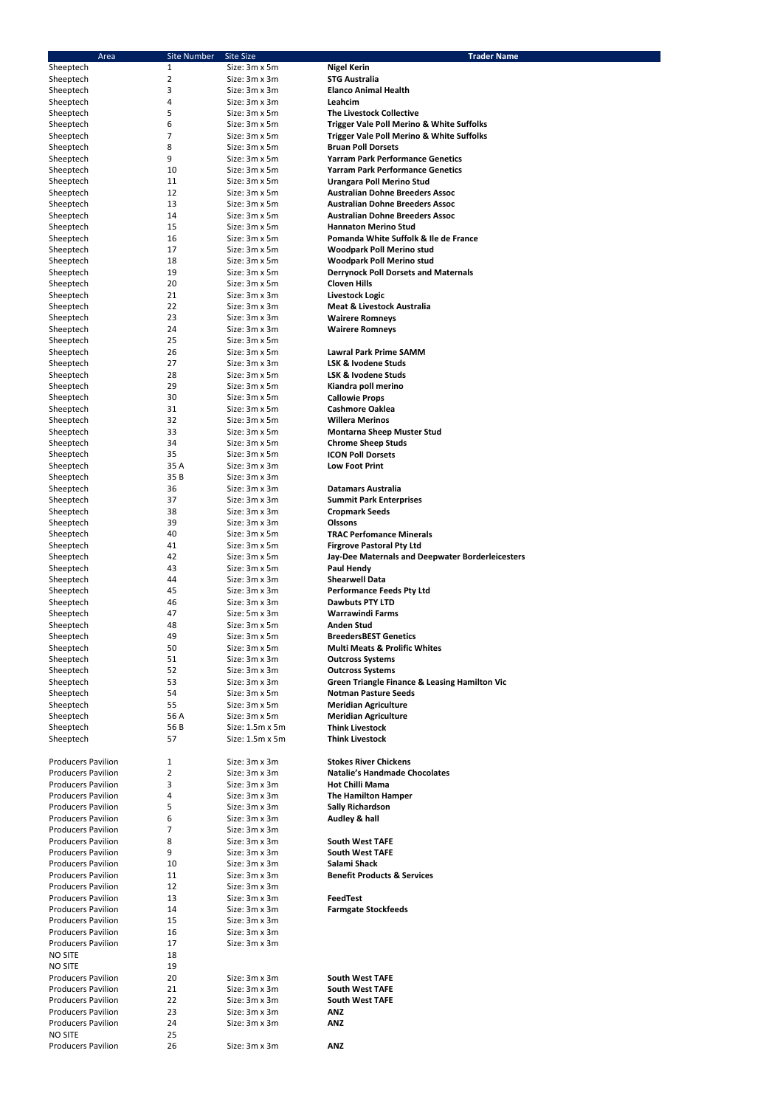| <b>Area</b>                                            | <b>Site Number</b> | <b>Site Size</b>               | <b>Trader Name</b>                                                                |
|--------------------------------------------------------|--------------------|--------------------------------|-----------------------------------------------------------------------------------|
| Sheeptech                                              | $\mathbf{1}$       | Size: 3m x 5m                  | <b>Nigel Kerin</b>                                                                |
| Sheeptech                                              | $\overline{2}$     | Size: 3m x 3m                  | <b>STG Australia</b>                                                              |
| Sheeptech                                              | 3                  | Size: 3m x 3m                  | <b>Elanco Animal Health</b>                                                       |
| Sheeptech                                              | 4                  | Size: 3m x 3m                  | Leahcim                                                                           |
| Sheeptech                                              | 5                  | Size: 3m x 5m                  | <b>The Livestock Collective</b>                                                   |
| Sheeptech                                              | 6<br>7             | Size: 3m x 5m<br>Size: 3m x 5m | Trigger Vale Poll Merino & White Suffolks                                         |
| Sheeptech<br>Sheeptech                                 | 8                  | Size: 3m x 5m                  | <b>Trigger Vale Poll Merino &amp; White Suffolks</b><br><b>Bruan Poll Dorsets</b> |
| Sheeptech                                              | 9                  | Size: 3m x 5m                  | <b>Yarram Park Performance Genetics</b>                                           |
| Sheeptech                                              | 10                 | Size: 3m x 5m                  | <b>Yarram Park Performance Genetics</b>                                           |
| Sheeptech                                              | 11                 | Size: 3m x 5m                  | <b>Urangara Poll Merino Stud</b>                                                  |
| Sheeptech                                              | 12                 | Size: 3m x 5m                  | <b>Australian Dohne Breeders Assoc</b>                                            |
| Sheeptech                                              | 13                 | Size: 3m x 5m                  | <b>Australian Dohne Breeders Assoc</b>                                            |
| Sheeptech                                              | 14                 | Size: 3m x 5m                  | <b>Australian Dohne Breeders Assoc</b>                                            |
| Sheeptech                                              | 15                 | Size: 3m x 5m                  | <b>Hannaton Merino Stud</b>                                                       |
| Sheeptech                                              | 16                 | Size: 3m x 5m                  | Pomanda White Suffolk & Ile de France                                             |
| Sheeptech                                              | 17                 | Size: 3m x 5m                  | <b>Woodpark Poll Merino stud</b>                                                  |
| Sheeptech                                              | 18                 | Size: 3m x 5m                  | <b>Woodpark Poll Merino stud</b>                                                  |
| Sheeptech<br>Sheeptech                                 | 19<br>20           | Size: 3m x 5m<br>Size: 3m x 5m | <b>Derrynock Poll Dorsets and Maternals</b><br><b>Cloven Hills</b>                |
| Sheeptech                                              | 21                 | Size: 3m x 3m                  | Livestock Logic                                                                   |
| Sheeptech                                              | 22                 | Size: 3m x 3m                  | <b>Meat &amp; Livestock Australia</b>                                             |
| Sheeptech                                              | 23                 | Size: 3m x 3m                  | <b>Wairere Romneys</b>                                                            |
| Sheeptech                                              | 24                 | Size: 3m x 3m                  | <b>Wairere Romneys</b>                                                            |
| Sheeptech                                              | 25                 | Size: 3m x 5m                  |                                                                                   |
| Sheeptech                                              | 26                 | Size: 3m x 5m                  | <b>Lawral Park Prime SAMM</b>                                                     |
| Sheeptech                                              | 27                 | Size: 3m x 3m                  | <b>LSK &amp; Ivodene Studs</b>                                                    |
| Sheeptech                                              | 28                 | Size: 3m x 5m                  | <b>LSK &amp; Ivodene Studs</b>                                                    |
| Sheeptech                                              | 29                 | Size: 3m x 5m                  | Kiandra poll merino                                                               |
| Sheeptech                                              | 30                 | Size: 3m x 5m                  | <b>Callowie Props</b>                                                             |
| Sheeptech                                              | 31                 | Size: 3m x 5m                  | <b>Cashmore Oaklea</b>                                                            |
| Sheeptech                                              | 32                 | Size: 3m x 5m                  | <b>Willera Merinos</b>                                                            |
| Sheeptech                                              | 33<br>34           | Size: 3m x 5m<br>Size: 3m x 5m | <b>Montarna Sheep Muster Stud</b>                                                 |
| Sheeptech<br>Sheeptech                                 | 35                 | Size: 3m x 5m                  | <b>Chrome Sheep Studs</b><br><b>ICON Poll Dorsets</b>                             |
| Sheeptech                                              | 35 A               | Size: 3m x 3m                  | <b>Low Foot Print</b>                                                             |
| Sheeptech                                              | 35 B               | Size: 3m x 3m                  |                                                                                   |
| Sheeptech                                              | 36                 | Size: 3m x 3m                  | <b>Datamars Australia</b>                                                         |
| Sheeptech                                              | 37                 | Size: 3m x 3m                  | <b>Summit Park Enterprises</b>                                                    |
| Sheeptech                                              | 38                 | Size: 3m x 3m                  | <b>Cropmark Seeds</b>                                                             |
| Sheeptech                                              | 39                 | Size: 3m x 3m                  | <b>Olssons</b>                                                                    |
| Sheeptech                                              | 40                 | Size: 3m x 5m                  | <b>TRAC Perfomance Minerals</b>                                                   |
| Sheeptech                                              | 41                 | Size: 3m x 5m                  | <b>Firgrove Pastoral Pty Ltd</b>                                                  |
| Sheeptech                                              | 42                 | Size: 3m x 5m                  | Jay-Dee Maternals and Deepwater Borderleicesters                                  |
| Sheeptech                                              | 43                 | Size: 3m x 5m                  | <b>Paul Hendy</b>                                                                 |
| Sheeptech                                              | 44                 | Size: 3m x 3m                  | <b>Shearwell Data</b>                                                             |
| Sheeptech<br>Sheeptech                                 | 45<br>46           | Size: 3m x 3m<br>Size: 3m x 3m | <b>Performance Feeds Pty Ltd</b><br><b>Dawbuts PTY LTD</b>                        |
| Sheeptech                                              | 47                 | Size: 5m x 3m                  | <b>Warrawindi Farms</b>                                                           |
| Sheeptech                                              | 48                 | Size: 3m x 5m                  | <b>Anden Stud</b>                                                                 |
| Sheeptech                                              | 49                 | Size: 3m x 5m                  | <b>BreedersBEST Genetics</b>                                                      |
| Sheeptech                                              | 50                 | Size: 3m x 5m                  | <b>Multi Meats &amp; Prolific Whites</b>                                          |
| Sheeptech                                              | 51                 | Size: 3m x 3m                  | <b>Outcross Systems</b>                                                           |
| Sheeptech                                              | 52                 | Size: 3m x 3m                  | <b>Outcross Systems</b>                                                           |
| Sheeptech                                              | 53                 | Size: 3m x 3m                  | <b>Green Triangle Finance &amp; Leasing Hamilton Vic</b>                          |
| Sheeptech                                              | 54                 | Size: 3m x 5m                  | <b>Notman Pasture Seeds</b>                                                       |
| Sheeptech                                              | 55                 | Size: 3m x 5m                  | <b>Meridian Agriculture</b>                                                       |
| Sheeptech                                              | 56 A               | Size: 3m x 5m                  | <b>Meridian Agriculture</b>                                                       |
| Sheeptech                                              | 56 B               | Size: 1.5m x 5m                | <b>Think Livestock</b>                                                            |
| Sheeptech                                              | 57                 | Size: 1.5m x 5m                | <b>Think Livestock</b>                                                            |
| <b>Producers Pavilion</b>                              | 1                  | Size: 3m x 3m                  | <b>Stokes River Chickens</b>                                                      |
| <b>Producers Pavilion</b>                              | 2                  | Size: 3m x 3m                  | <b>Natalie's Handmade Chocolates</b>                                              |
| <b>Producers Pavilion</b>                              | 3                  | Size: 3m x 3m                  | <b>Hot Chilli Mama</b>                                                            |
| <b>Producers Pavilion</b>                              | 4                  | Size: 3m x 3m                  | <b>The Hamilton Hamper</b>                                                        |
| <b>Producers Pavilion</b>                              | 5                  | Size: 3m x 3m                  | <b>Sally Richardson</b>                                                           |
| <b>Producers Pavilion</b>                              | 6                  | Size: 3m x 3m                  | Audley & hall                                                                     |
| <b>Producers Pavilion</b>                              | 7                  | Size: 3m x 3m                  |                                                                                   |
| <b>Producers Pavilion</b>                              | 8                  | Size: 3m x 3m                  | <b>South West TAFE</b>                                                            |
| <b>Producers Pavilion</b>                              | 9                  | Size: 3m x 3m                  | <b>South West TAFE</b>                                                            |
| <b>Producers Pavilion</b>                              | 10                 | Size: 3m x 3m                  | Salami Shack                                                                      |
| <b>Producers Pavilion</b><br><b>Producers Pavilion</b> | 11<br>12           | Size: 3m x 3m<br>Size: 3m x 3m | <b>Benefit Products &amp; Services</b>                                            |
| <b>Producers Pavilion</b>                              | 13                 | Size: 3m x 3m                  | <b>FeedTest</b>                                                                   |
| <b>Producers Pavilion</b>                              | 14                 | Size: 3m x 3m                  | <b>Farmgate Stockfeeds</b>                                                        |
| <b>Producers Pavilion</b>                              | 15                 | Size: 3m x 3m                  |                                                                                   |
| <b>Producers Pavilion</b>                              | 16                 | Size: 3m x 3m                  |                                                                                   |
| <b>Producers Pavilion</b>                              | 17                 | Size: 3m x 3m                  |                                                                                   |
| <b>NO SITE</b>                                         | 18                 |                                |                                                                                   |
| <b>NO SITE</b>                                         | 19                 |                                |                                                                                   |
| <b>Producers Pavilion</b>                              | 20                 | Size: 3m x 3m                  | <b>South West TAFE</b>                                                            |
| <b>Producers Pavilion</b>                              | 21                 | Size: 3m x 3m                  | <b>South West TAFE</b>                                                            |
| <b>Producers Pavilion</b>                              | 22                 | Size: 3m x 3m                  | <b>South West TAFE</b>                                                            |
| <b>Producers Pavilion</b><br><b>Producers Pavilion</b> | 23                 | Size: 3m x 3m<br>Size: 3m x 3m | <b>ANZ</b><br><b>ANZ</b>                                                          |
| <b>NO SITE</b>                                         | 24<br>25           |                                |                                                                                   |
| <b>Producers Pavilion</b>                              | 26                 | Size: 3m x 3m                  | <b>ANZ</b>                                                                        |
|                                                        |                    |                                |                                                                                   |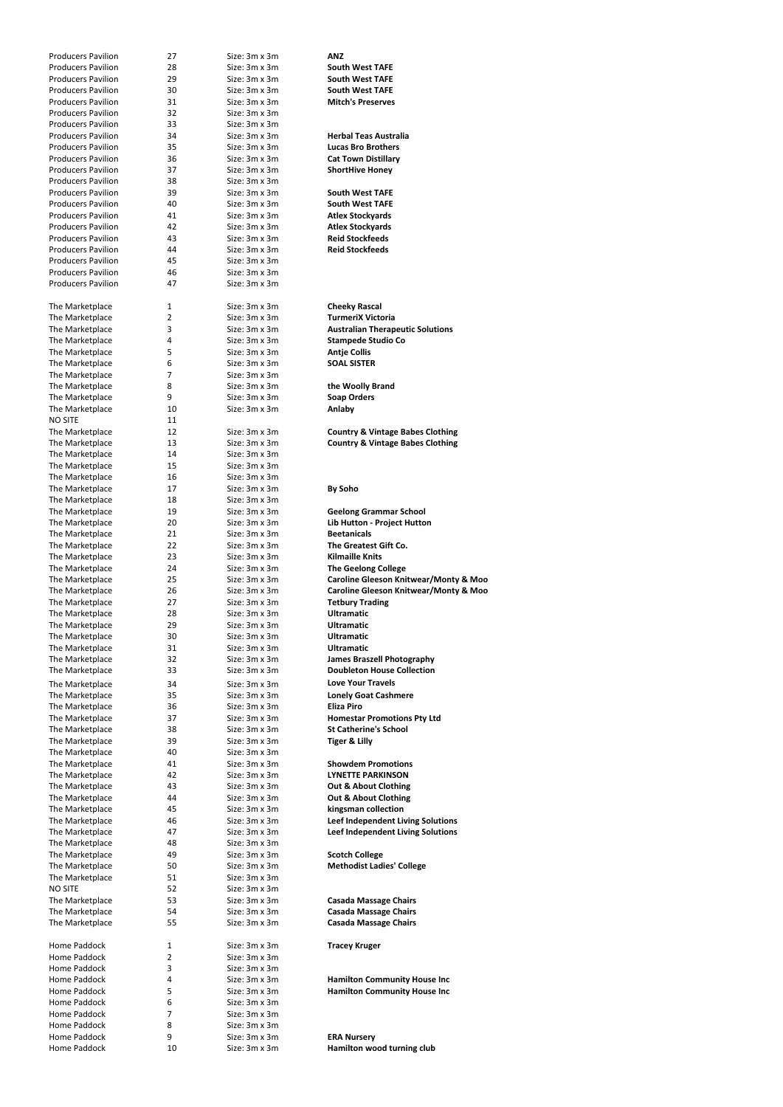| <b>Producers Pavilion</b> | 27             | Size: 3m x 3m        | <b>ANZ</b>                                       |
|---------------------------|----------------|----------------------|--------------------------------------------------|
| <b>Producers Pavilion</b> | 28             | Size: 3m x 3m        | <b>South West TAFE</b>                           |
|                           |                |                      |                                                  |
| <b>Producers Pavilion</b> | 29             | Size: 3m x 3m        | <b>South West TAFE</b>                           |
| <b>Producers Pavilion</b> | 30             | Size: 3m x 3m        | <b>South West TAFE</b>                           |
| <b>Producers Pavilion</b> | 31             | Size: 3m x 3m        | <b>Mitch's Preserves</b>                         |
| <b>Producers Pavilion</b> | 32             | Size: 3m x 3m        |                                                  |
| <b>Producers Pavilion</b> | 33             | Size: 3m x 3m        |                                                  |
|                           |                |                      |                                                  |
| <b>Producers Pavilion</b> | 34             | Size: 3m x 3m        | <b>Herbal Teas Australia</b>                     |
| <b>Producers Pavilion</b> | 35             | Size: 3m x 3m        | <b>Lucas Bro Brothers</b>                        |
| <b>Producers Pavilion</b> | 36             | Size: 3m x 3m        | <b>Cat Town Distillary</b>                       |
| <b>Producers Pavilion</b> | 37             | Size: 3m x 3m        | <b>ShortHive Honey</b>                           |
|                           |                |                      |                                                  |
| <b>Producers Pavilion</b> | 38             | Size: 3m x 3m        |                                                  |
| <b>Producers Pavilion</b> | 39             | Size: 3m x 3m        | <b>South West TAFE</b>                           |
| <b>Producers Pavilion</b> | 40             | Size: 3m x 3m        | <b>South West TAFE</b>                           |
| <b>Producers Pavilion</b> | 41             | Size: 3m x 3m        | <b>Atlex Stockyards</b>                          |
| <b>Producers Pavilion</b> | 42             | Size: 3m x 3m        |                                                  |
|                           |                |                      | <b>Atlex Stockyards</b>                          |
| <b>Producers Pavilion</b> | 43             | Size: 3m x 3m        | <b>Reid Stockfeeds</b>                           |
| <b>Producers Pavilion</b> | 44             | Size: 3m x 3m        | <b>Reid Stockfeeds</b>                           |
| <b>Producers Pavilion</b> | 45             | Size: 3m x 3m        |                                                  |
| <b>Producers Pavilion</b> | 46             | Size: 3m x 3m        |                                                  |
|                           |                |                      |                                                  |
| <b>Producers Pavilion</b> | 47             | Size: 3m x 3m        |                                                  |
|                           |                |                      |                                                  |
| The Marketplace           | $\mathbf{1}$   | Size: 3m x 3m        | <b>Cheeky Rascal</b>                             |
| The Marketplace           | $\overline{2}$ | Size: 3m x 3m        | <b>TurmeriX Victoria</b>                         |
|                           |                | Size: 3m x 3m        |                                                  |
| The Marketplace           | 3              |                      | <b>Australian Therapeutic Solutions</b>          |
| The Marketplace           | 4              | Size: 3m x 3m        | <b>Stampede Studio Co</b>                        |
| The Marketplace           | 5              | Size: 3m x 3m        | <b>Antje Collis</b>                              |
| The Marketplace           | 6              | Size: 3m x 3m        | <b>SOAL SISTER</b>                               |
| The Marketplace           | 7              | Size: 3m x 3m        |                                                  |
|                           |                |                      |                                                  |
| The Marketplace           | 8              | Size: 3m x 3m        | the Woolly Brand                                 |
| The Marketplace           | 9              | Size: 3m x 3m        | <b>Soap Orders</b>                               |
| The Marketplace           | 10             | Size: 3m x 3m        | Anlaby                                           |
| <b>NO SITE</b>            | 11             |                      |                                                  |
|                           |                |                      |                                                  |
| The Marketplace           | 12             | Size: 3m x 3m        | <b>Country &amp; Vintage Babes Clothing</b>      |
| The Marketplace           | 13             | Size: 3m x 3m        | <b>Country &amp; Vintage Babes Clothing</b>      |
| The Marketplace           | 14             | Size: 3m x 3m        |                                                  |
| The Marketplace           | 15             | Size: 3m x 3m        |                                                  |
| The Marketplace           | 16             | Size: 3m x 3m        |                                                  |
|                           |                |                      |                                                  |
| The Marketplace           | 17             | Size: 3m x 3m        | <b>By Soho</b>                                   |
| The Marketplace           | 18             | Size: 3m x 3m        |                                                  |
| The Marketplace           | 19             | Size: 3m x 3m        | <b>Geelong Grammar School</b>                    |
| The Marketplace           | 20             | Size: 3m x 3m        | Lib Hutton - Project Hutton                      |
|                           | 21             | Size: 3m x 3m        | <b>Beetanicals</b>                               |
| The Marketplace           |                |                      |                                                  |
| The Marketplace           | 22             | Size: 3m x 3m        | The Greatest Gift Co.                            |
| The Marketplace           | 23             | Size: 3m x 3m        | <b>Kilmaille Knits</b>                           |
| The Marketplace           | 24             | Size: 3m x 3m        | <b>The Geelong College</b>                       |
| The Marketplace           | 25             | Size: 3m x 3m        | <b>Caroline Gleeson Knitwear/Monty &amp; Moo</b> |
|                           |                |                      |                                                  |
| The Marketplace           | 26             | Size: 3m x 3m        | Caroline Gleeson Knitwear/Monty & Moo            |
| The Marketplace           | 27             | Size: 3m x 3m        | <b>Tetbury Trading</b>                           |
| The Marketplace           | 28             | Size: 3m x 3m        | <b>Ultramatic</b>                                |
| The Marketplace           | 29             | Size: 3m x 3m        | <b>Ultramatic</b>                                |
| The Marketplace           | 30             | Size: 3m x 3m        | <b>Ultramatic</b>                                |
|                           |                |                      |                                                  |
| The Marketplace           | 31             | Size: 3m x 3m        | <b>Ultramatic</b>                                |
| The Marketplace           | 32             | Size: 3m x 3m        | <b>James Braszell Photography</b>                |
| The Marketplace           | 33             | Size: 3m x 3m        | <b>Doubleton House Collection</b>                |
|                           |                |                      | <b>Love Your Travels</b>                         |
| The Marketplace           | 34             | Size: 3m x 3m        |                                                  |
| The Marketplace           | 35             | Size: 3m x 3m        | <b>Lonely Goat Cashmere</b>                      |
| The Marketplace           | 36             | Size: 3m x 3m        | Eliza Piro                                       |
| The Marketplace           | 37             | Size: 3m x 3m        | <b>Homestar Promotions Pty Ltd</b>               |
| The Marketplace           | 38             | Size: 3m x 3m        | <b>St Catherine's School</b>                     |
|                           |                |                      |                                                  |
| The Marketplace           | 39             | Size: 3m x 3m        | <b>Tiger &amp; Lilly</b>                         |
| The Marketplace           | 40             | Size: 3m x 3m        |                                                  |
| The Marketplace           | 41             | Size: 3m x 3m        | <b>Showdem Promotions</b>                        |
| The Marketplace           | 42             | Size: 3m x 3m        | <b>LYNETTE PARKINSON</b>                         |
| The Marketplace           | 43             | Size: 3m x 3m        | <b>Out &amp; About Clothing</b>                  |
|                           |                |                      |                                                  |
| The Marketplace           | 44             | Size: 3m x 3m        | <b>Out &amp; About Clothing</b>                  |
| The Marketplace           | 45             | Size: 3m x 3m        | kingsman collection                              |
| The Marketplace           | 46             | $Size: 3m \times 3m$ | Leef Independent Living Solutions                |
| The Marketplace           | 47             | Size: 3m x 3m        | Leef Independent Living Solutions                |
| The Marketplace           | 48             | Size: 3m x 3m        |                                                  |
|                           |                |                      |                                                  |
| The Marketplace           | 49             | Size: 3m x 3m        | <b>Scotch College</b>                            |
| The Marketplace           | 50             | Size: 3m x 3m        | <b>Methodist Ladies' College</b>                 |
| The Marketplace           | 51             | Size: 3m x 3m        |                                                  |
| NO SITE                   | 52             | Size: 3m x 3m        |                                                  |
|                           | 53             | Size: 3m x 3m        | <b>Casada Massage Chairs</b>                     |
| The Marketplace           |                |                      |                                                  |
| The Marketplace           | 54             | Size: 3m x 3m        | <b>Casada Massage Chairs</b>                     |
| The Marketplace           | 55             | Size: 3m x 3m        | <b>Casada Massage Chairs</b>                     |
|                           |                |                      |                                                  |
| Home Paddock              | 1              | Size: 3m x 3m        | <b>Tracey Kruger</b>                             |
| Home Paddock              |                |                      |                                                  |
|                           | 2              | Size: 3m x 3m        |                                                  |
| Home Paddock              | 3              | Size: 3m x 3m        |                                                  |
| Home Paddock              | 4              | Size: 3m x 3m        | <b>Hamilton Community House Inc</b>              |
| Home Paddock              | 5              | Size: 3m x 3m        | <b>Hamilton Community House Inc</b>              |
| Home Paddock              | 6              | Size: 3m x 3m        |                                                  |
|                           |                |                      |                                                  |
| Home Paddock              | 7              | Size: 3m x 3m        |                                                  |
| Home Paddock              | 8              | Size: 3m x 3m        |                                                  |
| Home Paddock              | 9              | Size: 3m x 3m        | <b>ERA Nursery</b>                               |
|                           |                |                      |                                                  |
| Home Paddock              | 10             | Size: 3m x 3m        | Hamilton wood turning club                       |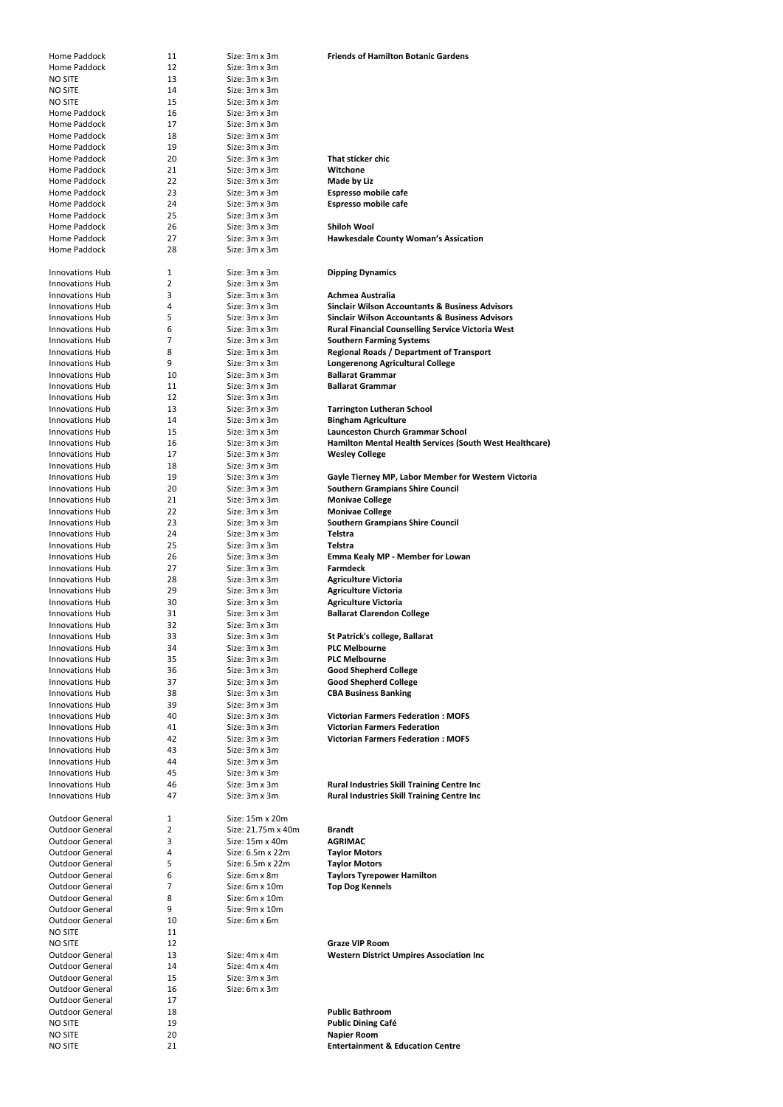| Home Paddock           | 11 | Size: 3m x 3m      | <b>Friends of Hamilton Botanic Gardens</b>                 |
|------------------------|----|--------------------|------------------------------------------------------------|
| Home Paddock           | 12 | Size: 3m x 3m      |                                                            |
| <b>NO SITE</b>         | 13 | Size: 3m x 3m      |                                                            |
| <b>NO SITE</b>         | 14 | Size: 3m x 3m      |                                                            |
| <b>NO SITE</b>         | 15 | Size: 3m x 3m      |                                                            |
| Home Paddock           | 16 | Size: 3m x 3m      |                                                            |
| Home Paddock           | 17 | Size: 3m x 3m      |                                                            |
| Home Paddock           | 18 | Size: 3m x 3m      |                                                            |
| Home Paddock           | 19 | Size: 3m x 3m      |                                                            |
| Home Paddock           | 20 | Size: 3m x 3m      | That sticker chic                                          |
| Home Paddock           | 21 | Size: 3m x 3m      | Witchone                                                   |
| Home Paddock           | 22 | Size: 3m x 3m      | Made by Liz                                                |
|                        |    |                    |                                                            |
| Home Paddock           | 23 | Size: 3m x 3m      | <b>Espresso mobile cafe</b>                                |
| Home Paddock           | 24 | Size: 3m x 3m      | <b>Espresso mobile cafe</b>                                |
| Home Paddock           | 25 | Size: 3m x 3m      |                                                            |
| Home Paddock           | 26 | Size: 3m x 3m      | <b>Shiloh Wool</b>                                         |
| Home Paddock           | 27 | Size: 3m x 3m      | <b>Hawkesdale County Woman's Assication</b>                |
| Home Paddock           | 28 | Size: 3m x 3m      |                                                            |
|                        |    |                    |                                                            |
| <b>Innovations Hub</b> | 1  | Size: 3m x 3m      | <b>Dipping Dynamics</b>                                    |
| <b>Innovations Hub</b> | 2  | Size: 3m x 3m      |                                                            |
| <b>Innovations Hub</b> | 3  | Size: 3m x 3m      | <b>Achmea Australia</b>                                    |
| <b>Innovations Hub</b> | 4  | Size: 3m x 3m      | <b>Sinclair Wilson Accountants &amp; Business Advisors</b> |
| <b>Innovations Hub</b> | 5  | Size: 3m x 3m      | <b>Sinclair Wilson Accountants &amp; Business Advisors</b> |
| <b>Innovations Hub</b> | 6  | Size: 3m x 3m      | <b>Rural Financial Counselling Service Victoria West</b>   |
| <b>Innovations Hub</b> | 7  | Size: 3m x 3m      | <b>Southern Farming Systems</b>                            |
| <b>Innovations Hub</b> | 8  | Size: 3m x 3m      | <b>Regional Roads / Department of Transport</b>            |
| <b>Innovations Hub</b> | 9  | Size: 3m x 3m      | <b>Longerenong Agricultural College</b>                    |
| <b>Innovations Hub</b> | 10 | Size: 3m x 3m      | <b>Ballarat Grammar</b>                                    |
| <b>Innovations Hub</b> | 11 | Size: 3m x 3m      | <b>Ballarat Grammar</b>                                    |
| <b>Innovations Hub</b> | 12 | Size: 3m x 3m      |                                                            |
|                        |    |                    |                                                            |
| <b>Innovations Hub</b> | 13 | Size: 3m x 3m      | <b>Tarrington Lutheran School</b>                          |
| <b>Innovations Hub</b> | 14 | Size: 3m x 3m      | <b>Bingham Agriculture</b>                                 |
| <b>Innovations Hub</b> | 15 | Size: 3m x 3m      | <b>Launceston Church Grammar School</b>                    |
| <b>Innovations Hub</b> | 16 | Size: 3m x 3m      | Hamilton Mental Health Services (South West Healthcare)    |
| <b>Innovations Hub</b> | 17 | Size: 3m x 3m      | <b>Wesley College</b>                                      |
| <b>Innovations Hub</b> | 18 | Size: 3m x 3m      |                                                            |
| <b>Innovations Hub</b> | 19 | Size: 3m x 3m      | Gayle Tierney MP, Labor Member for Western Victoria        |
| <b>Innovations Hub</b> | 20 | Size: 3m x 3m      | <b>Southern Grampians Shire Council</b>                    |
| <b>Innovations Hub</b> | 21 | Size: 3m x 3m      | <b>Monivae College</b>                                     |
| <b>Innovations Hub</b> | 22 | Size: 3m x 3m      | <b>Monivae College</b>                                     |
| <b>Innovations Hub</b> | 23 | Size: 3m x 3m      | <b>Southern Grampians Shire Council</b>                    |
| <b>Innovations Hub</b> | 24 | Size: 3m x 3m      | <b>Telstra</b>                                             |
| <b>Innovations Hub</b> | 25 | Size: 3m x 3m      | <b>Telstra</b>                                             |
| <b>Innovations Hub</b> | 26 | Size: 3m x 3m      | Emma Kealy MP - Member for Lowan                           |
| <b>Innovations Hub</b> | 27 | Size: 3m x 3m      | <b>Farmdeck</b>                                            |
| <b>Innovations Hub</b> | 28 | Size: 3m x 3m      | <b>Agriculture Victoria</b>                                |
| <b>Innovations Hub</b> | 29 | Size: 3m x 3m      | <b>Agriculture Victoria</b>                                |
|                        |    |                    |                                                            |
| <b>Innovations Hub</b> | 30 | Size: 3m x 3m      | <b>Agriculture Victoria</b>                                |
| <b>Innovations Hub</b> | 31 | Size: 3m x 3m      | <b>Ballarat Clarendon College</b>                          |
| <b>Innovations Hub</b> | 32 | Size: 3m x 3m      |                                                            |
| <b>Innovations Hub</b> | 33 | Size: 3m x 3m      | St Patrick's college, Ballarat                             |
| <b>Innovations Hub</b> | 34 | Size: 3m x 3m      | <b>PLC Melbourne</b>                                       |
| <b>Innovations Hub</b> | 35 | Size: 3m x 3m      | <b>PLC Melbourne</b>                                       |
| <b>Innovations Hub</b> | 36 | Size: 3m x 3m      | <b>Good Shepherd College</b>                               |
| <b>Innovations Hub</b> | 37 | Size: 3m x 3m      | <b>Good Shepherd College</b>                               |
| <b>Innovations Hub</b> | 38 | Size: 3m x 3m      | <b>CBA Business Banking</b>                                |
| <b>Innovations Hub</b> | 39 | Size: 3m x 3m      |                                                            |
| <b>Innovations Hub</b> | 40 | Size: 3m x 3m      | <b>Victorian Farmers Federation: MOFS</b>                  |
| <b>Innovations Hub</b> | 41 | Size: 3m x 3m      | <b>Victorian Farmers Federation</b>                        |
| <b>Innovations Hub</b> | 42 | Size: 3m x 3m      | <b>Victorian Farmers Federation: MOFS</b>                  |
| <b>Innovations Hub</b> | 43 | Size: 3m x 3m      |                                                            |
| <b>Innovations Hub</b> | 44 | Size: 3m x 3m      |                                                            |
| <b>Innovations Hub</b> | 45 | Size: 3m x 3m      |                                                            |
| <b>Innovations Hub</b> | 46 | Size: 3m x 3m      | <b>Rural Industries Skill Training Centre Inc</b>          |
| <b>Innovations Hub</b> | 47 | Size: 3m x 3m      |                                                            |
|                        |    |                    | <b>Rural Industries Skill Training Centre Inc</b>          |
| <b>Outdoor General</b> | 1  | Size: 15m x 20m    |                                                            |
| <b>Outdoor General</b> | 2  | Size: 21.75m x 40m | <b>Brandt</b>                                              |
|                        |    |                    | <b>AGRIMAC</b>                                             |
| <b>Outdoor General</b> | 3  | Size: 15m x 40m    |                                                            |
| <b>Outdoor General</b> | 4  | Size: 6.5m x 22m   | <b>Taylor Motors</b>                                       |
| <b>Outdoor General</b> | 5  | Size: 6.5m x 22m   | <b>Taylor Motors</b>                                       |
| <b>Outdoor General</b> | 6  | Size: 6m x 8m      | <b>Taylors Tyrepower Hamilton</b>                          |
| <b>Outdoor General</b> | 7  | Size: 6m x 10m     | <b>Top Dog Kennels</b>                                     |
| <b>Outdoor General</b> | 8  | Size: 6m x 10m     |                                                            |
| <b>Outdoor General</b> | 9  | Size: 9m x 10m     |                                                            |
| <b>Outdoor General</b> | 10 | Size: 6m x 6m      |                                                            |
| <b>NO SITE</b>         | 11 |                    |                                                            |
| <b>NO SITE</b>         | 12 |                    | <b>Graze VIP Room</b>                                      |
| <b>Outdoor General</b> | 13 | Size: 4m x 4m      | <b>Western District Umpires Association Inc</b>            |
| <b>Outdoor General</b> | 14 | Size: 4m x 4m      |                                                            |
| <b>Outdoor General</b> | 15 | Size: 3m x 3m      |                                                            |
| <b>Outdoor General</b> | 16 | Size: 6m x 3m      |                                                            |
| <b>Outdoor General</b> | 17 |                    |                                                            |
|                        |    |                    | <b>Public Bathroom</b>                                     |
| <b>Outdoor General</b> | 18 |                    |                                                            |
| <b>NO SITE</b>         | 19 |                    | <b>Public Dining Café</b>                                  |
| <b>NO SITE</b>         | 20 |                    | <b>Napier Room</b>                                         |
| <b>NO SITE</b>         | 21 |                    | <b>Entertainment &amp; Education Centre</b>                |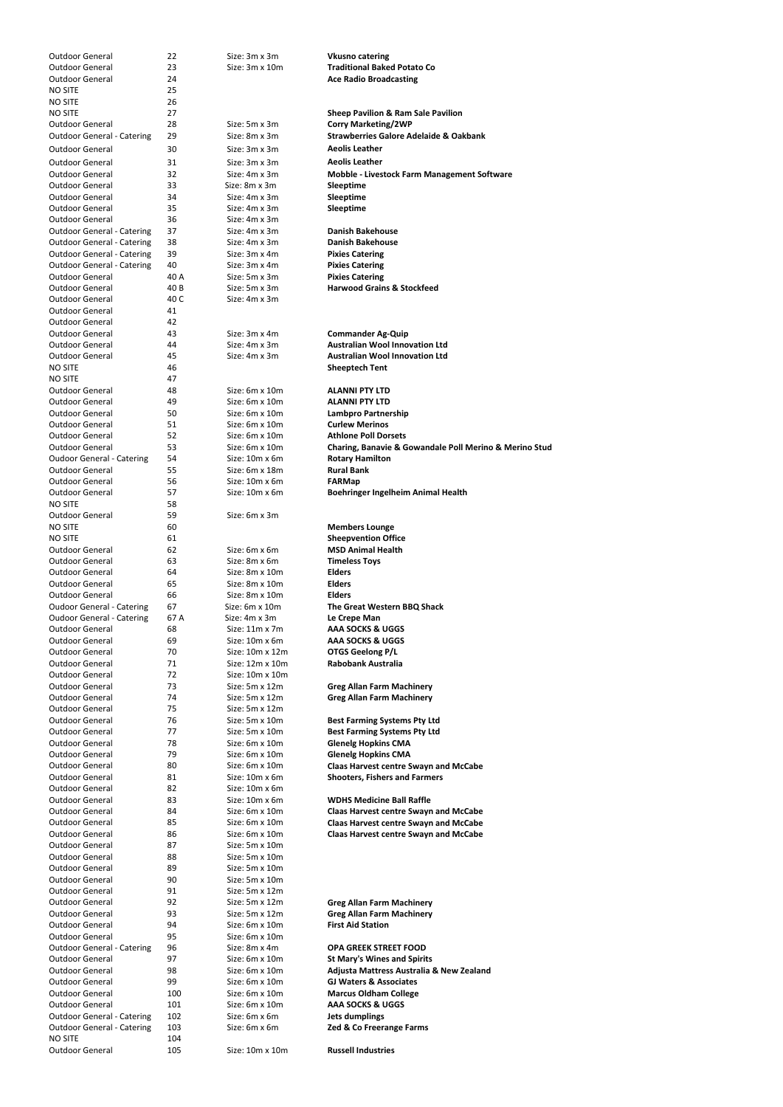| <b>Outdoor General</b>            | 22   | Size: 3m x 3m         | <b>Vkusno catering</b>                                 |
|-----------------------------------|------|-----------------------|--------------------------------------------------------|
| <b>Outdoor General</b>            | 23   | Size: 3m x 10m        | <b>Traditional Baked Potato Co</b>                     |
| <b>Outdoor General</b>            | 24   |                       | <b>Ace Radio Broadcasting</b>                          |
| <b>NO SITE</b>                    | 25   |                       |                                                        |
|                                   |      |                       |                                                        |
| <b>NO SITE</b>                    | 26   |                       |                                                        |
| <b>NO SITE</b>                    | 27   |                       | <b>Sheep Pavilion &amp; Ram Sale Pavilion</b>          |
| <b>Outdoor General</b>            | 28   | Size: 5m x 3m         | <b>Corry Marketing/2WP</b>                             |
| <b>Outdoor General - Catering</b> | 29   | Size: 8m x 3m         | <b>Strawberries Galore Adelaide &amp; Oakbank</b>      |
|                                   |      |                       |                                                        |
| <b>Outdoor General</b>            | 30   | Size: 3m x 3m         | <b>Aeolis Leather</b>                                  |
| <b>Outdoor General</b>            | 31   | Size: 3m x 3m         | <b>Aeolis Leather</b>                                  |
| <b>Outdoor General</b>            | 32   | Size: 4m x 3m         | Mobble - Livestock Farm Management Software            |
|                                   |      |                       |                                                        |
| <b>Outdoor General</b>            | 33   | Size: 8m x 3m         | Sleeptime                                              |
| <b>Outdoor General</b>            | 34   | Size: 4m x 3m         | Sleeptime                                              |
| <b>Outdoor General</b>            | 35   | Size: 4m x 3m         | Sleeptime                                              |
| <b>Outdoor General</b>            | 36   | Size: 4m x 3m         |                                                        |
|                                   |      |                       | <b>Danish Bakehouse</b>                                |
| <b>Outdoor General - Catering</b> | 37   | Size: 4m x 3m         |                                                        |
| <b>Outdoor General - Catering</b> | 38   | Size: 4m x 3m         | <b>Danish Bakehouse</b>                                |
| <b>Outdoor General - Catering</b> | 39   | Size: 3m x 4m         | <b>Pixies Catering</b>                                 |
| <b>Outdoor General - Catering</b> | 40   | Size: 3m x 4m         | <b>Pixies Catering</b>                                 |
| <b>Outdoor General</b>            | 40 A | Size: 5m x 3m         | <b>Pixies Catering</b>                                 |
|                                   |      |                       |                                                        |
| <b>Outdoor General</b>            | 40 B | Size: 5m x 3m         | <b>Harwood Grains &amp; Stockfeed</b>                  |
| <b>Outdoor General</b>            | 40 C | Size: 4m x 3m         |                                                        |
| <b>Outdoor General</b>            | 41   |                       |                                                        |
| <b>Outdoor General</b>            | 42   |                       |                                                        |
| <b>Outdoor General</b>            |      |                       |                                                        |
|                                   | 43   | Size: 3m x 4m         | <b>Commander Ag-Quip</b>                               |
| <b>Outdoor General</b>            | 44   | Size: 4m x 3m         | <b>Australian Wool Innovation Ltd</b>                  |
| <b>Outdoor General</b>            | 45   | Size: 4m x 3m         | <b>Australian Wool Innovation Ltd</b>                  |
| <b>NO SITE</b>                    | 46   |                       | <b>Sheeptech Tent</b>                                  |
| <b>NO SITE</b>                    | 47   |                       |                                                        |
|                                   |      |                       |                                                        |
| <b>Outdoor General</b>            | 48   | Size: $6m \times 10m$ | <b>ALANNI PTY LTD</b>                                  |
| <b>Outdoor General</b>            | 49   | Size: 6m x 10m        | <b>ALANNI PTY LTD</b>                                  |
| <b>Outdoor General</b>            | 50   | Size: $6m \times 10m$ | Lambpro Partnership                                    |
| <b>Outdoor General</b>            | 51   | Size: $6m \times 10m$ | <b>Curlew Merinos</b>                                  |
|                                   |      |                       |                                                        |
| <b>Outdoor General</b>            | 52   | Size: $6m \times 10m$ | <b>Athlone Poll Dorsets</b>                            |
| <b>Outdoor General</b>            | 53   | Size: 6m x 10m        | Charing, Banavie & Gowandale Poll Merino & Merino Stud |
| <b>Oudoor General - Catering</b>  | 54   | Size: 10m x 6m        | <b>Rotary Hamilton</b>                                 |
| <b>Outdoor General</b>            | 55   | Size: 6m x 18m        | <b>Rural Bank</b>                                      |
|                                   |      |                       |                                                        |
| <b>Outdoor General</b>            | 56   | Size: 10m x 6m        | <b>FARMap</b>                                          |
| <b>Outdoor General</b>            | 57   | Size: 10m x 6m        | <b>Boehringer Ingelheim Animal Health</b>              |
| <b>NO SITE</b>                    | 58   |                       |                                                        |
| <b>Outdoor General</b>            | 59   | Size: 6m x 3m         |                                                        |
| <b>NO SITE</b>                    | 60   |                       | <b>Members Lounge</b>                                  |
|                                   |      |                       |                                                        |
| <b>NO SITE</b>                    | 61   |                       | <b>Sheepvention Office</b>                             |
| <b>Outdoor General</b>            | 62   | Size: 6m x 6m         | <b>MSD Animal Health</b>                               |
| <b>Outdoor General</b>            | 63   | Size: 8m x 6m         | <b>Timeless Toys</b>                                   |
| <b>Outdoor General</b>            | 64   | Size: 8m x 10m        | <b>Elders</b>                                          |
|                                   |      |                       |                                                        |
| <b>Outdoor General</b>            | 65   | Size: 8m x 10m        | <b>Elders</b>                                          |
| <b>Outdoor General</b>            | 66   | Size: 8m x 10m        | <b>Elders</b>                                          |
| <b>Oudoor General - Catering</b>  | 67   | Size: 6m x 10m        | The Great Western BBQ Shack                            |
| <b>Oudoor General - Catering</b>  | 67 A | Size: 4m x 3m         | Le Crepe Man                                           |
|                                   |      |                       |                                                        |
| <b>Outdoor General</b>            | 68   | Size: $11m \times 7m$ | AAA SOCKS & UGGS                                       |
| <b>Outdoor General</b>            | 69   | Size: 10m x 6m        | AAA SOCKS & UGGS                                       |
| <b>Outdoor General</b>            | 70   | Size: 10m x 12m       | <b>OTGS Geelong P/L</b>                                |
| <b>Outdoor General</b>            | 71   | Size: 12m x 10m       | <b>Rabobank Australia</b>                              |
| <b>Outdoor General</b>            | 72   | Size: 10m x 10m       |                                                        |
|                                   |      |                       |                                                        |
| <b>Outdoor General</b>            | 73   | Size: $5m \times 12m$ | <b>Greg Allan Farm Machinery</b>                       |
| <b>Outdoor General</b>            | 74   | Size: $5m \times 12m$ | <b>Greg Allan Farm Machinery</b>                       |
| <b>Outdoor General</b>            | 75   | Size: 5m x 12m        |                                                        |
| <b>Outdoor General</b>            | 76   | Size: 5m x 10m        | <b>Best Farming Systems Pty Ltd</b>                    |
|                                   |      |                       |                                                        |
| <b>Outdoor General</b>            | 77   | Size: 5m x 10m        | <b>Best Farming Systems Pty Ltd</b>                    |
| <b>Outdoor General</b>            | 78   | Size: 6m x 10m        | <b>Glenelg Hopkins CMA</b>                             |
| <b>Outdoor General</b>            | 79   | Size: 6m x 10m        | <b>Glenelg Hopkins CMA</b>                             |
| <b>Outdoor General</b>            | 80   | Size: 6m x 10m        | <b>Claas Harvest centre Swayn and McCabe</b>           |
| <b>Outdoor General</b>            | 81   | Size: $10m \times 6m$ |                                                        |
|                                   |      |                       | <b>Shooters, Fishers and Farmers</b>                   |
| <b>Outdoor General</b>            | 82   | Size: 10m x 6m        |                                                        |
| <b>Outdoor General</b>            | 83   | Size: 10m x 6m        | <b>WDHS Medicine Ball Raffle</b>                       |
| <b>Outdoor General</b>            | 84   | Size: 6m x 10m        | <b>Claas Harvest centre Swayn and McCabe</b>           |
| <b>Outdoor General</b>            | 85   | Size: 6m x 10m        | <b>Claas Harvest centre Swayn and McCabe</b>           |
|                                   |      |                       |                                                        |
| <b>Outdoor General</b>            | 86   | Size: 6m x 10m        | <b>Claas Harvest centre Swayn and McCabe</b>           |
| <b>Outdoor General</b>            | 87   | Size: 5m x 10m        |                                                        |
| <b>Outdoor General</b>            | 88   | Size: 5m x 10m        |                                                        |
| <b>Outdoor General</b>            | 89   | Size: 5m x 10m        |                                                        |
|                                   | 90   | Size: 5m x 10m        |                                                        |
| <b>Outdoor General</b>            |      |                       |                                                        |
| <b>Outdoor General</b>            | 91   | Size: 5m x 12m        |                                                        |
| <b>Outdoor General</b>            | 92   | Size: $5m \times 12m$ | <b>Greg Allan Farm Machinery</b>                       |
| <b>Outdoor General</b>            | 93   | Size: 5m x 12m        | <b>Greg Allan Farm Machinery</b>                       |
|                                   |      | Size: 6m x 10m        |                                                        |
| <b>Outdoor General</b>            | 94   |                       | <b>First Aid Station</b>                               |
| <b>Outdoor General</b>            | 95   | Size: 6m x 10m        |                                                        |
| <b>Outdoor General - Catering</b> | 96   | Size: 8m x 4m         | <b>OPA GREEK STREET FOOD</b>                           |
| <b>Outdoor General</b>            | 97   | Size: 6m x 10m        | <b>St Mary's Wines and Spirits</b>                     |
| <b>Outdoor General</b>            |      | Size: 6m x 10m        | Adjusta Mattress Australia & New Zealand               |
|                                   | 98   |                       |                                                        |
| <b>Outdoor General</b>            | 99   | Size: 6m x 10m        | <b>GJ Waters &amp; Associates</b>                      |
| <b>Outdoor General</b>            | 100  | Size: 6m x 10m        | <b>Marcus Oldham College</b>                           |
| <b>Outdoor General</b>            | 101  | Size: 6m x 10m        | <b>AAA SOCKS &amp; UGGS</b>                            |
|                                   |      | Size: 6m x 6m         |                                                        |
| <b>Outdoor General - Catering</b> | 102  |                       | <b>Jets dumplings</b>                                  |
| <b>Outdoor General - Catering</b> | 103  | Size: 6m x 6m         | Zed & Co Freerange Farms                               |
| <b>NO SITE</b>                    | 104  |                       |                                                        |
| <b>Outdoor General</b>            | 105  | Size: 10m x 10m       | <b>Russell Industries</b>                              |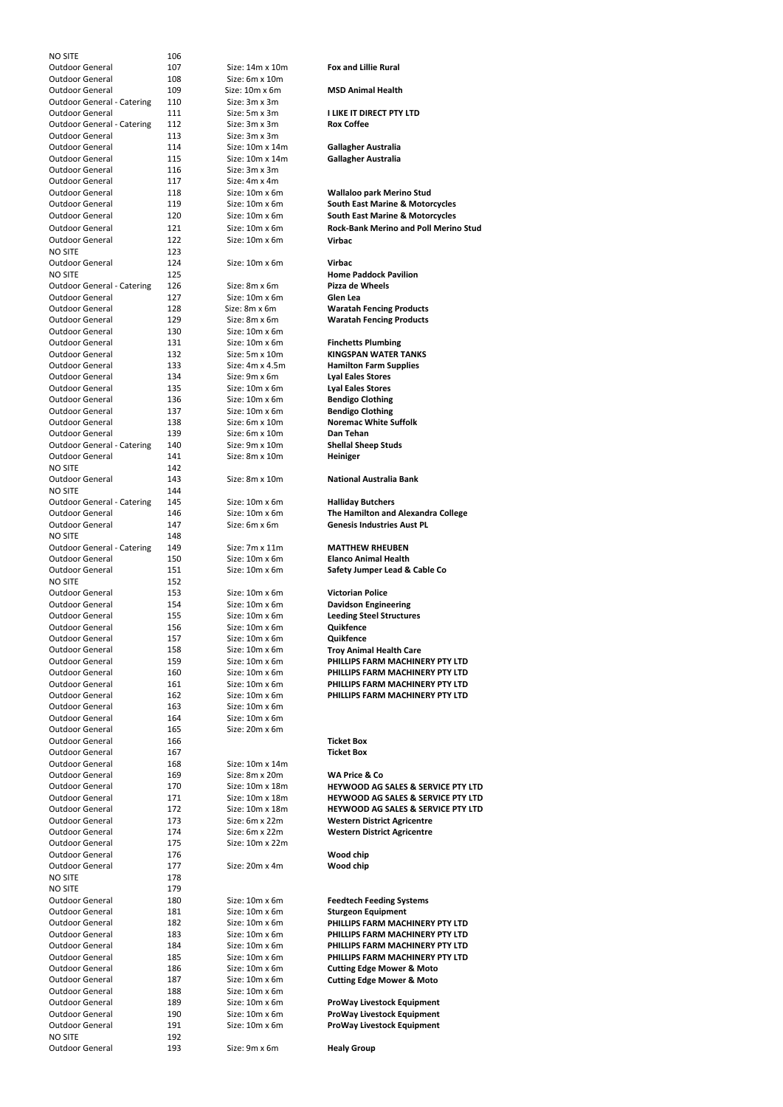| <b>NO SITE</b>                    | 106 |                        |                                               |
|-----------------------------------|-----|------------------------|-----------------------------------------------|
|                                   |     |                        |                                               |
| <b>Outdoor General</b>            | 107 | Size: 14m x 10m        | <b>Fox and Lillie Rural</b>                   |
| <b>Outdoor General</b>            | 108 | Size: 6m x 10m         |                                               |
| <b>Outdoor General</b>            | 109 | Size: $10m \times 6m$  | <b>MSD Animal Health</b>                      |
| <b>Outdoor General - Catering</b> | 110 | Size: 3m x 3m          |                                               |
|                                   |     |                        |                                               |
| <b>Outdoor General</b>            | 111 | Size: 5m x 3m          | <b>I LIKE IT DIRECT PTY LTD</b>               |
| <b>Outdoor General - Catering</b> | 112 | Size: 3m x 3m          | <b>Rox Coffee</b>                             |
| <b>Outdoor General</b>            | 113 | Size: 3m x 3m          |                                               |
| Outdoor General                   | 114 | Size: 10m x 14m        | <b>Gallagher Australia</b>                    |
| Outdoor General                   | 115 | Size: 10m x 14m        |                                               |
|                                   |     |                        | <b>Gallagher Australia</b>                    |
| <b>Outdoor General</b>            | 116 | Size: 3m x 3m          |                                               |
| Outdoor General                   | 117 | Size: 4m x 4m          |                                               |
| <b>Outdoor General</b>            | 118 | Size: $10m \times 6m$  | <b>Wallaloo park Merino Stud</b>              |
| <b>Outdoor General</b>            |     | Size: 10m x 6m         |                                               |
|                                   | 119 |                        | <b>South East Marine &amp; Motorcycles</b>    |
| <b>Outdoor General</b>            | 120 | Size: 10m x 6m         | <b>South East Marine &amp; Motorcycles</b>    |
| <b>Outdoor General</b>            | 121 | Size: 10m x 6m         | <b>Rock-Bank Merino and Poll Merino Stud</b>  |
| <b>Outdoor General</b>            |     | Size: 10m x 6m         | <b>Virbac</b>                                 |
|                                   | 122 |                        |                                               |
| <b>NO SITE</b>                    | 123 |                        |                                               |
| <b>Outdoor General</b>            | 124 | Size: $10m \times 6m$  | <b>Virbac</b>                                 |
| <b>NO SITE</b>                    | 125 |                        | <b>Home Paddock Pavilion</b>                  |
| <b>Outdoor General - Catering</b> | 126 | Size: 8m x 6m          | <b>Pizza de Wheels</b>                        |
|                                   |     |                        |                                               |
| <b>Outdoor General</b>            | 127 | Size: 10m x 6m         | Glen Lea                                      |
| <b>Outdoor General</b>            | 128 | Size: 8m x 6m          | <b>Waratah Fencing Products</b>               |
| <b>Outdoor General</b>            | 129 | Size: 8m x 6m          | <b>Waratah Fencing Products</b>               |
| <b>Outdoor General</b>            | 130 | Size: 10m x 6m         |                                               |
|                                   |     |                        |                                               |
| Outdoor General                   | 131 | Size: $10m \times 6m$  | <b>Finchetts Plumbing</b>                     |
| <b>Outdoor General</b>            | 132 | Size: 5m x 10m         | <b>KINGSPAN WATER TANKS</b>                   |
| <b>Outdoor General</b>            | 133 | Size: $4m \times 4.5m$ | <b>Hamilton Farm Supplies</b>                 |
| <b>Outdoor General</b>            | 134 | Size: 9m x 6m          | <b>Lyal Eales Stores</b>                      |
|                                   |     |                        |                                               |
| <b>Outdoor General</b>            | 135 | Size: 10m x 6m         | <b>Lyal Eales Stores</b>                      |
| <b>Outdoor General</b>            | 136 | Size: $10m \times 6m$  | <b>Bendigo Clothing</b>                       |
| <b>Outdoor General</b>            | 137 | Size: $10m \times 6m$  | <b>Bendigo Clothing</b>                       |
| <b>Outdoor General</b>            | 138 | Size: 6m x 10m         | <b>Noremac White Suffolk</b>                  |
|                                   |     |                        |                                               |
| <b>Outdoor General</b>            | 139 | Size: $6m \times 10m$  | Dan Tehan                                     |
| <b>Outdoor General - Catering</b> | 140 | Size: 9m x 10m         | <b>Shellal Sheep Studs</b>                    |
| <b>Outdoor General</b>            | 141 | Size: 8m x 10m         | Heiniger                                      |
| NO SITE                           | 142 |                        |                                               |
|                                   |     |                        |                                               |
| <b>Outdoor General</b>            | 143 | Size: 8m x 10m         | <b>National Australia Bank</b>                |
| <b>NO SITE</b>                    | 144 |                        |                                               |
| <b>Outdoor General - Catering</b> | 145 | Size: 10m x 6m         | <b>Halliday Butchers</b>                      |
| <b>Outdoor General</b>            | 146 | Size: 10m x 6m         | The Hamilton and Alexandra College            |
|                                   |     |                        |                                               |
| <b>Outdoor General</b>            | 147 | Size: 6m x 6m          | <b>Genesis Industries Aust PL</b>             |
| <b>NO SITE</b>                    | 148 |                        |                                               |
| <b>Outdoor General - Catering</b> | 149 | Size: 7m x 11m         | <b>MATTHEW RHEUBEN</b>                        |
| <b>Outdoor General</b>            | 150 | Size: 10m x 6m         | <b>Elanco Animal Health</b>                   |
| <b>Outdoor General</b>            | 151 | Size: 10m x 6m         | Safety Jumper Lead & Cable Co                 |
|                                   |     |                        |                                               |
| <b>NO SITE</b>                    | 152 |                        |                                               |
| <b>Outdoor General</b>            | 153 | Size: 10m x 6m         | <b>Victorian Police</b>                       |
| <b>Outdoor General</b>            | 154 | Size: 10m x 6m         | <b>Davidson Engineering</b>                   |
| <b>Outdoor General</b>            | 155 | Size: 10m x 6m         | <b>Leeding Steel Structures</b>               |
|                                   |     |                        |                                               |
| <b>Outdoor General</b>            | 156 | Size: 10m x 6m         | Quikfence                                     |
| <b>Outdoor General</b>            | 157 | Size: 10m x 6m         | Quikfence                                     |
| <b>Outdoor General</b>            | 158 | Size: 10m x 6m         | <b>Troy Animal Health Care</b>                |
| <b>Outdoor General</b>            | 159 | Size: 10m x 6m         | PHILLIPS FARM MACHINERY PTY LTD               |
|                                   |     |                        |                                               |
| <b>Outdoor General</b>            | 160 | Size: 10m x 6m         | PHILLIPS FARM MACHINERY PTY LTD               |
| <b>Outdoor General</b>            | 161 | Size: 10m x 6m         | PHILLIPS FARM MACHINERY PTY LTD               |
| <b>Outdoor General</b>            | 162 | Size: $10m \times 6m$  | PHILLIPS FARM MACHINERY PTY LTD               |
| <b>Outdoor General</b>            | 163 | Size: 10m x 6m         |                                               |
|                                   |     |                        |                                               |
| <b>Outdoor General</b>            | 164 | Size: 10m x 6m         |                                               |
| <b>Outdoor General</b>            | 165 | Size: 20m x 6m         |                                               |
| <b>Outdoor General</b>            | 166 |                        | <b>Ticket Box</b>                             |
| <b>Outdoor General</b>            | 167 |                        | <b>Ticket Box</b>                             |
| <b>Outdoor General</b>            |     |                        |                                               |
|                                   | 168 | Size: 10m x 14m        |                                               |
| <b>Outdoor General</b>            | 169 | Size: 8m x 20m         | <b>WA Price &amp; Co</b>                      |
| <b>Outdoor General</b>            | 170 | Size: 10m x 18m        | <b>HEYWOOD AG SALES &amp; SERVICE PTY LTD</b> |
| <b>Outdoor General</b>            | 171 | Size: 10m x 18m        | <b>HEYWOOD AG SALES &amp; SERVICE PTY LTD</b> |
| <b>Outdoor General</b>            | 172 | Size: 10m x 18m        | <b>HEYWOOD AG SALES &amp; SERVICE PTY LTD</b> |
|                                   |     |                        |                                               |
| <b>Outdoor General</b>            | 173 | Size: 6m x 22m         | <b>Western District Agricentre</b>            |
| <b>Outdoor General</b>            | 174 | Size: 6m x 22m         | <b>Western District Agricentre</b>            |
| <b>Outdoor General</b>            | 175 | Size: 10m x 22m        |                                               |
| <b>Outdoor General</b>            | 176 |                        | Wood chip                                     |
|                                   |     |                        |                                               |
| <b>Outdoor General</b>            | 177 | Size: 20m x 4m         | Wood chip                                     |
| <b>NO SITE</b>                    | 178 |                        |                                               |
| <b>NO SITE</b>                    | 179 |                        |                                               |
| <b>Outdoor General</b>            | 180 | Size: 10m x 6m         | <b>Feedtech Feeding Systems</b>               |
| <b>Outdoor General</b>            | 181 | Size: 10m x 6m         |                                               |
|                                   |     |                        | <b>Sturgeon Equipment</b>                     |
| <b>Outdoor General</b>            | 182 | Size: 10m x 6m         | PHILLIPS FARM MACHINERY PTY LTD               |
| <b>Outdoor General</b>            | 183 | Size: 10m x 6m         | PHILLIPS FARM MACHINERY PTY LTD               |
| <b>Outdoor General</b>            | 184 | Size: 10m x 6m         | PHILLIPS FARM MACHINERY PTY LTD               |
| <b>Outdoor General</b>            | 185 | Size: $10m \times 6m$  | PHILLIPS FARM MACHINERY PTY LTD               |
|                                   |     |                        |                                               |
| <b>Outdoor General</b>            | 186 | Size: 10m x 6m         | <b>Cutting Edge Mower &amp; Moto</b>          |
| <b>Outdoor General</b>            | 187 | Size: 10m x 6m         | <b>Cutting Edge Mower &amp; Moto</b>          |
| <b>Outdoor General</b>            | 188 | Size: 10m x 6m         |                                               |
| <b>Outdoor General</b>            | 189 | Size: 10m x 6m         | <b>ProWay Livestock Equipment</b>             |
|                                   |     |                        |                                               |
| <b>Outdoor General</b>            | 190 | Size: 10m x 6m         | <b>ProWay Livestock Equipment</b>             |
| <b>Outdoor General</b>            | 191 | Size: 10m x 6m         | <b>ProWay Livestock Equipment</b>             |
| <b>NO SITE</b>                    | 192 |                        |                                               |
| <b>Outdoor General</b>            | 193 | Size: 9m x 6m          | <b>Healy Group</b>                            |
|                                   |     |                        |                                               |

| <b>Fox and Lillie Rural</b>                                                                                                                                                            |
|----------------------------------------------------------------------------------------------------------------------------------------------------------------------------------------|
| <b>MSD Animal Health</b>                                                                                                                                                               |
| I LIKE IT DIRECT PTY LTD<br><b>Rox Coffee</b>                                                                                                                                          |
| <b>Gallagher Australia</b><br><b>Gallagher Australia</b>                                                                                                                               |
| <b>Wallaloo park Merino Stud</b><br><b>South East Marine &amp; Motorcycles</b><br><b>South East Marine &amp; Motorcycles</b><br><b>Rock-Bank Merino and Poll Merino Stud</b><br>Virbac |
| Virbac<br><b>Home Paddock Pavilion</b><br>Pizza de Wheels<br>Glen Lea                                                                                                                  |
| <b>Waratah Fencing Products</b><br><b>Waratah Fencing Products</b>                                                                                                                     |
| <b>Finchetts Plumbing</b><br><b>KINGSPAN WATER TANKS</b><br><b>Hamilton Farm Supplies</b><br><b>Lyal Eales Stores</b>                                                                  |
| <b>Lyal Eales Stores</b><br><b>Bendigo Clothing</b>                                                                                                                                    |
| <b>Bendigo Clothing</b><br><b>Noremac White Suffolk</b>                                                                                                                                |
| Dan Tehan<br><b>Shellal Sheep Studs</b><br><b>Heiniger</b>                                                                                                                             |
| <b>National Australia Bank</b>                                                                                                                                                         |
| <b>Halliday Butchers</b><br>The Hamilton and Alexandra College<br><b>Genesis Industries Aust PL</b>                                                                                    |
| <b>MATTHEW RHEUBEN</b>                                                                                                                                                                 |
| <b>Elanco Animal Health</b><br>Safety Jumper Lead & Cable Co                                                                                                                           |
| Victorian Police                                                                                                                                                                       |
| <b>Davidson Engineering</b><br><b>Leeding Steel Structures</b>                                                                                                                         |
| Quikfence<br>Quikfence                                                                                                                                                                 |
| <b>Troy Animal Health Care</b><br>PHILLIPS FARM MACHINERY PTY LTD                                                                                                                      |
| PHILLIPS FARM MACHINERY PTY LTD<br>PHILLIPS FARM MACHINERY PTY LTD                                                                                                                     |
| PHILLIPS FARM MACHINERY PTY LTD                                                                                                                                                        |
| <b>Ticket Box</b>                                                                                                                                                                      |
| <b>Ticket Box</b>                                                                                                                                                                      |
| <b>WA Price &amp; Co</b><br><b>HEYWOOD AG SALES &amp; SERVICE PTY LTD</b><br><b>HEYWOOD AG SALES &amp; SERVICE PTY LTD</b>                                                             |
| <b>HEYWOOD AG SALES &amp; SERVICE PTY LTD</b><br><b>Western District Agricentre</b>                                                                                                    |
| <b>Western District Agricentre</b>                                                                                                                                                     |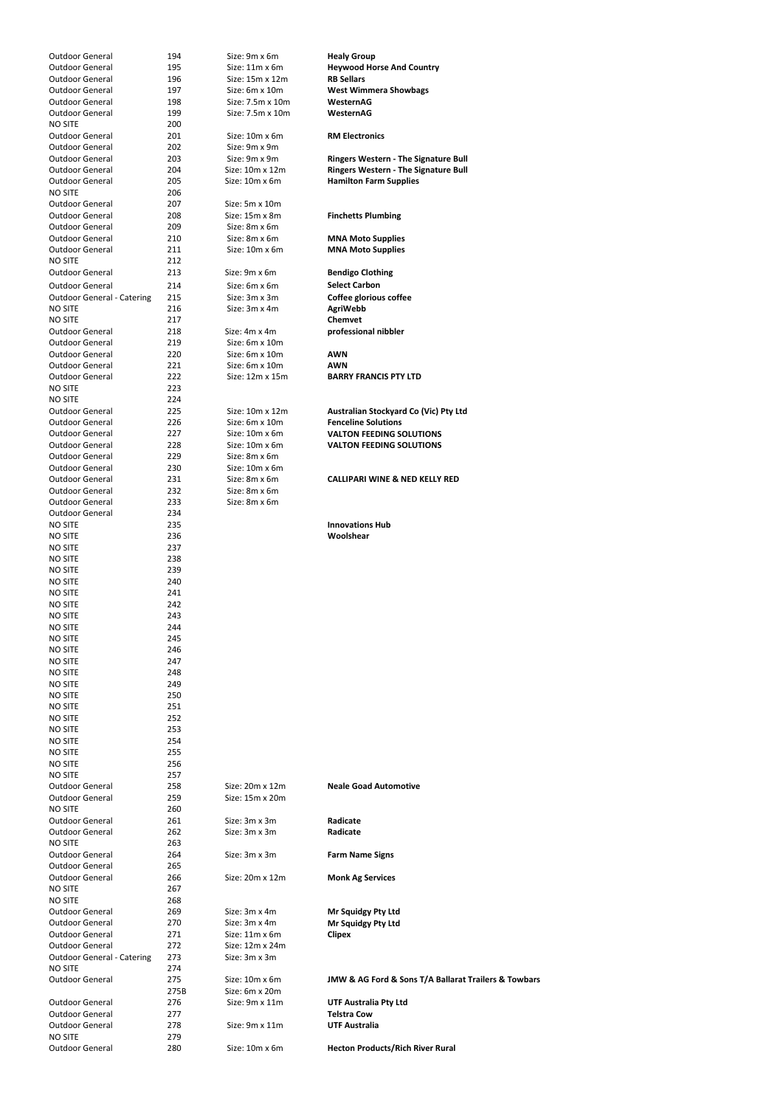| <b>Outdoor General</b>            | 194        | Size: 9m x 6m         | <b>Healy Group</b>                                   |
|-----------------------------------|------------|-----------------------|------------------------------------------------------|
| <b>Outdoor General</b>            | 195        | $Size: 11m \times 6m$ | <b>Heywood Horse And Country</b>                     |
| <b>Outdoor General</b>            | 196        | Size: 15m x 12m       | <b>RB Sellars</b>                                    |
| <b>Outdoor General</b>            | 197        | Size: 6m x 10m        | <b>West Wimmera Showbags</b>                         |
| <b>Outdoor General</b>            | 198        | Size: 7.5m x 10m      | WesternAG                                            |
| <b>Outdoor General</b>            | 199        | Size: 7.5m x 10m      | WesternAG                                            |
| <b>NO SITE</b>                    | 200        |                       |                                                      |
| <b>Outdoor General</b>            | 201        | Size: 10m x 6m        | <b>RM Electronics</b>                                |
| <b>Outdoor General</b>            | 202        | Size: 9m x 9m         |                                                      |
| <b>Outdoor General</b>            | 203        | Size: 9m x 9m         | <b>Ringers Western - The Signature Bull</b>          |
| <b>Outdoor General</b>            | 204        | Size: 10m x 12m       | <b>Ringers Western - The Signature Bull</b>          |
| <b>Outdoor General</b>            | 205        | Size: 10m x 6m        | <b>Hamilton Farm Supplies</b>                        |
| <b>NO SITE</b>                    | 206        |                       |                                                      |
| <b>Outdoor General</b>            | 207        | Size: 5m x 10m        |                                                      |
| <b>Outdoor General</b>            | 208        | Size: 15m x 8m        | <b>Finchetts Plumbing</b>                            |
| <b>Outdoor General</b>            | 209        | Size: 8m x 6m         |                                                      |
| <b>Outdoor General</b>            | 210        | Size: 8m x 6m         | <b>MNA Moto Supplies</b>                             |
| <b>Outdoor General</b>            | 211        | Size: 10m x 6m        | <b>MNA Moto Supplies</b>                             |
| <b>NO SITE</b>                    | 212        |                       |                                                      |
| <b>Outdoor General</b>            | 213        | Size: 9m x 6m         | <b>Bendigo Clothing</b>                              |
| <b>Outdoor General</b>            | 214        | Size: 6m x 6m         | <b>Select Carbon</b>                                 |
| <b>Outdoor General - Catering</b> | 215        | Size: 3m x 3m         | Coffee glorious coffee                               |
| <b>NO SITE</b>                    | 216        | Size: 3m x 4m         | <b>AgriWebb</b>                                      |
| <b>NO SITE</b>                    | 217        |                       | <b>Chemvet</b>                                       |
| <b>Outdoor General</b>            | 218        | Size: 4m x 4m         | professional nibbler                                 |
| <b>Outdoor General</b>            | 219        | Size: 6m x 10m        |                                                      |
| <b>Outdoor General</b>            | 220        | Size: 6m x 10m        | <b>AWN</b>                                           |
| <b>Outdoor General</b>            | 221        | Size: 6m x 10m        | <b>AWN</b>                                           |
| <b>Outdoor General</b>            | 222        | Size: 12m x 15m       | <b>BARRY FRANCIS PTY LTD</b>                         |
| <b>NO SITE</b>                    | 223        |                       |                                                      |
| <b>NO SITE</b>                    | 224        |                       |                                                      |
| <b>Outdoor General</b>            | 225        | Size: 10m x 12m       | Australian Stockyard Co (Vic) Pty Ltd                |
| <b>Outdoor General</b>            | 226        | Size: 6m x 10m        | <b>Fenceline Solutions</b>                           |
| <b>Outdoor General</b>            | 227        | Size: 10m x 6m        | <b>VALTON FEEDING SOLUTIONS</b>                      |
| <b>Outdoor General</b>            | 228        | Size: 10m x 6m        | <b>VALTON FEEDING SOLUTIONS</b>                      |
| <b>Outdoor General</b>            | 229        | Size: 8m x 6m         |                                                      |
| <b>Outdoor General</b>            | 230        | Size: 10m x 6m        |                                                      |
| <b>Outdoor General</b>            | 231        | Size: 8m x 6m         | <b>CALLIPARI WINE &amp; NED KELLY RED</b>            |
| <b>Outdoor General</b>            | 232        | Size: 8m x 6m         |                                                      |
| <b>Outdoor General</b>            | 233        | Size: 8m x 6m         |                                                      |
| <b>Outdoor General</b>            | 234        |                       |                                                      |
| <b>NO SITE</b>                    | 235        |                       | <b>Innovations Hub</b>                               |
| <b>NO SITE</b>                    | 236        |                       | Woolshear                                            |
| <b>NO SITE</b>                    | 237        |                       |                                                      |
| <b>NO SITE</b>                    | 238        |                       |                                                      |
| <b>NO SITE</b>                    | 239        |                       |                                                      |
| <b>NO SITE</b>                    | 240        |                       |                                                      |
| <b>NO SITE</b><br><b>NO SITE</b>  | 241<br>242 |                       |                                                      |
| <b>NO SITE</b>                    | 243        |                       |                                                      |
| <b>NO SITE</b>                    | 244        |                       |                                                      |
| <b>NO SITE</b>                    | 245        |                       |                                                      |
| <b>NO SITE</b>                    | 246        |                       |                                                      |
| <b>NO SITE</b>                    | 247        |                       |                                                      |
| <b>NO SITE</b>                    | 248        |                       |                                                      |
| <b>NO SITE</b>                    | 249        |                       |                                                      |
| <b>NO SITE</b>                    | 250        |                       |                                                      |
| <b>NO SITE</b>                    | 251        |                       |                                                      |
| <b>NO SITE</b>                    | 252        |                       |                                                      |
| <b>NO SITE</b>                    | 253        |                       |                                                      |
| <b>NO SITE</b>                    | 254        |                       |                                                      |
| <b>NO SITE</b>                    | 255        |                       |                                                      |
| <b>NO SITE</b>                    | 256        |                       |                                                      |
| <b>NO SITE</b>                    | 257        |                       |                                                      |
| <b>Outdoor General</b>            | 258        | Size: 20m x 12m       | <b>Neale Goad Automotive</b>                         |
| <b>Outdoor General</b>            | 259        | Size: 15m x 20m       |                                                      |
| <b>NO SITE</b>                    | 260        |                       |                                                      |
| <b>Outdoor General</b>            | 261        | Size: 3m x 3m         | Radicate                                             |
| <b>Outdoor General</b>            | 262        | Size: 3m x 3m         | Radicate                                             |
| <b>NO SITE</b>                    | 263        |                       |                                                      |
| <b>Outdoor General</b>            | 264        | Size: 3m x 3m         | <b>Farm Name Signs</b>                               |
| <b>Outdoor General</b>            | 265        |                       |                                                      |
| <b>Outdoor General</b>            | 266        | Size: 20m x 12m       | <b>Monk Ag Services</b>                              |
| <b>NO SITE</b>                    | 267        |                       |                                                      |
| <b>NO SITE</b>                    | 268        |                       |                                                      |
| <b>Outdoor General</b>            | 269        | Size: 3m x 4m         | Mr Squidgy Pty Ltd                                   |
| <b>Outdoor General</b>            | 270        | Size: 3m x 4m         | Mr Squidgy Pty Ltd                                   |
| <b>Outdoor General</b>            | 271        | Size: $11m \times 6m$ | <b>Clipex</b>                                        |
| <b>Outdoor General</b>            | 272        | Size: 12m x 24m       |                                                      |
| <b>Outdoor General - Catering</b> | 273        | Size: 3m x 3m         |                                                      |
| <b>NO SITE</b>                    | 274        |                       |                                                      |
| <b>Outdoor General</b>            | 275        | Size: 10m x 6m        | JMW & AG Ford & Sons T/A Ballarat Trailers & Towbars |
|                                   | 275B       | Size: 6m x 20m        |                                                      |
| <b>Outdoor General</b>            | 276        | Size: 9m x 11m        | <b>UTF Australia Pty Ltd</b>                         |
| <b>Outdoor General</b>            | 277        |                       | <b>Telstra Cow</b>                                   |
| <b>Outdoor General</b>            | 278        | Size: 9m x 11m        | <b>UTF Australia</b>                                 |
| <b>NO SITE</b>                    |            |                       |                                                      |
| <b>Outdoor General</b>            | 279<br>280 | Size: 10m x 6m        | <b>Hecton Products/Rich River Rural</b>              |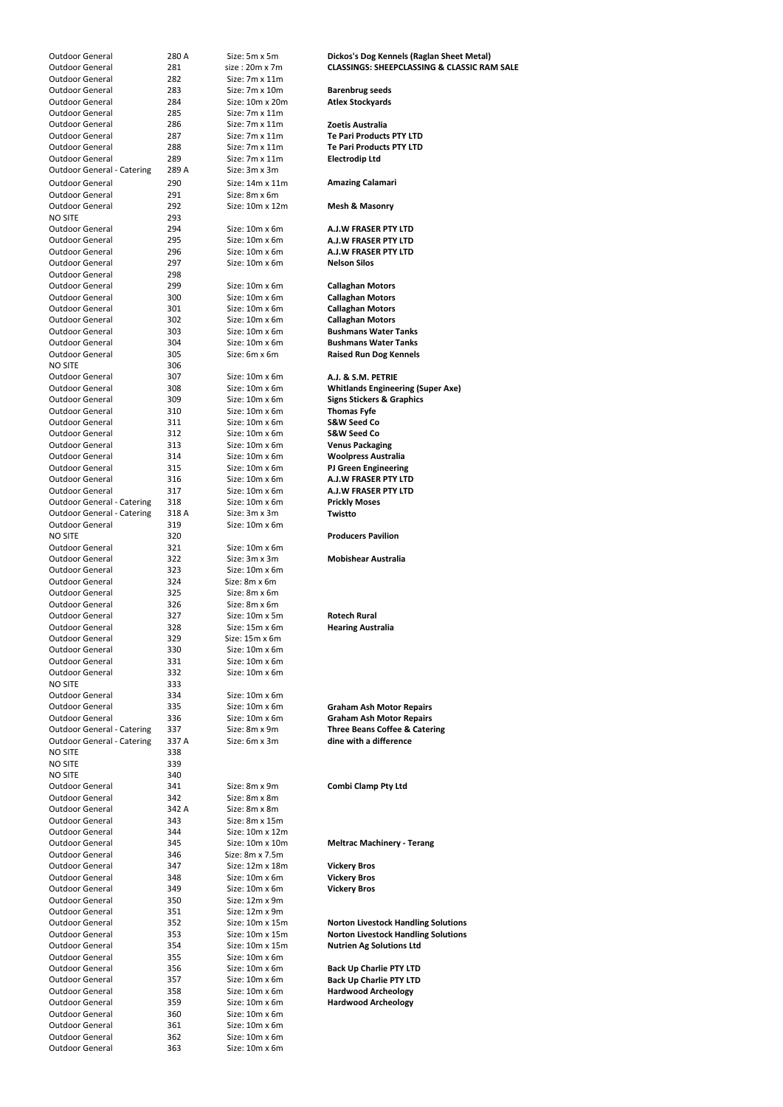| <b>Outdoor General</b>                           | 280 A      | Size: 5m x 5m                    | Dickos's Dog Kennels (Raglan Sheet Metal)              |
|--------------------------------------------------|------------|----------------------------------|--------------------------------------------------------|
| <b>Outdoor General</b>                           | 281        | $size:20m \times 7m$             | <b>CLASSINGS: SHEEPCLASSING &amp; CLASSIC RAM SALE</b> |
| <b>Outdoor General</b>                           | 282        | Size: 7m x 11m                   |                                                        |
| Outdoor General                                  | 283        | Size: 7m x 10m                   |                                                        |
|                                                  |            |                                  | <b>Barenbrug seeds</b>                                 |
| <b>Outdoor General</b>                           | 284        | Size: 10m x 20m                  | <b>Atlex Stockyards</b>                                |
| Outdoor General                                  | 285        | Size: $7m \times 11m$            |                                                        |
| <b>Outdoor General</b>                           | 286        | Size: 7m x 11m                   | Zoetis Australia                                       |
| <b>Outdoor General</b>                           | 287        | Size: 7m x 11m                   | <b>Te Pari Products PTY LTD</b>                        |
| <b>Outdoor General</b>                           | 288        | Size: 7m x 11m                   | <b>Te Pari Products PTY LTD</b>                        |
| <b>Outdoor General</b>                           | 289        | Size: 7m x 11m                   | <b>Electrodip Ltd</b>                                  |
| <b>Outdoor General - Catering</b>                | 289 A      | Size: 3m x 3m                    |                                                        |
| <b>Outdoor General</b>                           | 290        | Size: 14m x 11m                  | <b>Amazing Calamari</b>                                |
| <b>Outdoor General</b>                           |            | Size: 8m x 6m                    |                                                        |
|                                                  | 291        |                                  |                                                        |
| <b>Outdoor General</b>                           | 292        | Size: 10m x 12m                  | <b>Mesh &amp; Masonry</b>                              |
| <b>NO SITE</b>                                   | 293        |                                  |                                                        |
| <b>Outdoor General</b>                           | 294        | Size: 10m x 6m                   | <b>A.J.W FRASER PTY LTD</b>                            |
| <b>Outdoor General</b>                           | 295        | Size: 10m x 6m                   | A.J.W FRASER PTY LTD                                   |
| <b>Outdoor General</b>                           | 296        | Size: 10m x 6m                   | <b>A.J.W FRASER PTY LTD</b>                            |
| <b>Outdoor General</b>                           | 297        | Size: 10m x 6m                   | <b>Nelson Silos</b>                                    |
| <b>Outdoor General</b>                           | 298        |                                  |                                                        |
| <b>Outdoor General</b>                           | 299        | Size: 10m x 6m                   | <b>Callaghan Motors</b>                                |
| <b>Outdoor General</b>                           | 300        | Size: 10m x 6m                   | <b>Callaghan Motors</b>                                |
| <b>Outdoor General</b>                           | 301        | Size: 10m x 6m                   | <b>Callaghan Motors</b>                                |
| <b>Outdoor General</b>                           | 302        | Size: 10m x 6m                   | <b>Callaghan Motors</b>                                |
| <b>Outdoor General</b>                           |            | Size: 10m x 6m                   | <b>Bushmans Water Tanks</b>                            |
|                                                  | 303        |                                  |                                                        |
| <b>Outdoor General</b>                           | 304        | Size: 10m x 6m                   | <b>Bushmans Water Tanks</b>                            |
| <b>Outdoor General</b>                           | 305        | Size: 6m x 6m                    | <b>Raised Run Dog Kennels</b>                          |
| <b>NO SITE</b>                                   | 306        |                                  |                                                        |
| <b>Outdoor General</b>                           | 307        | Size: 10m x 6m                   | A.J. & S.M. PETRIE                                     |
| <b>Outdoor General</b>                           | 308        | Size: 10m x 6m                   | <b>Whitlands Engineering (Super Axe)</b>               |
| <b>Outdoor General</b>                           | 309        | Size: 10m x 6m                   | <b>Signs Stickers &amp; Graphics</b>                   |
| <b>Outdoor General</b>                           | 310        | Size: 10m x 6m                   | <b>Thomas Fyfe</b>                                     |
| <b>Outdoor General</b>                           | 311        | Size: 10m x 6m                   | <b>S&amp;W Seed Co</b>                                 |
| <b>Outdoor General</b>                           | 312        | Size: 10m x 6m                   | <b>S&amp;W Seed Co</b>                                 |
| <b>Outdoor General</b>                           | 313        | Size: 10m x 6m                   | <b>Venus Packaging</b>                                 |
|                                                  |            |                                  |                                                        |
| <b>Outdoor General</b>                           | 314        | Size: 10m x 6m                   | <b>Woolpress Australia</b>                             |
| <b>Outdoor General</b>                           | 315        | Size: 10m x 6m                   | <b>PJ Green Engineering</b>                            |
| <b>Outdoor General</b>                           | 316        | Size: $10m \times 6m$            | <b>A.J.W FRASER PTY LTD</b>                            |
| <b>Outdoor General</b>                           | 317        | Size: 10m x 6m                   | <b>A.J.W FRASER PTY LTD</b>                            |
| <b>Outdoor General - Catering</b>                | 318        | Size: 10m x 6m                   | <b>Prickly Moses</b>                                   |
| <b>Outdoor General - Catering</b>                | 318 A      | Size: 3m x 3m                    | Twistto                                                |
| Outdoor General                                  | 319        | Size: 10m x 6m                   |                                                        |
| <b>NO SITE</b>                                   | 320        |                                  | <b>Producers Pavilion</b>                              |
| <b>Outdoor General</b>                           | 321        | Size: $10m \times 6m$            |                                                        |
|                                                  |            |                                  |                                                        |
|                                                  |            |                                  |                                                        |
| <b>Outdoor General</b>                           | 322        | Size: 3m x 3m                    | <b>Mobishear Australia</b>                             |
| <b>Outdoor General</b>                           | 323        | Size: 10m x 6m                   |                                                        |
| <b>Outdoor General</b>                           | 324        | Size: 8m x 6m                    |                                                        |
| <b>Outdoor General</b>                           | 325        | Size: 8m x 6m                    |                                                        |
| <b>Outdoor General</b>                           | 326        | Size: 8m x 6m                    |                                                        |
| <b>Outdoor General</b>                           | 327        | Size: 10m x 5m                   | <b>Rotech Rural</b>                                    |
| <b>Outdoor General</b>                           | 328        | Size: 15m x 6m                   | <b>Hearing Australia</b>                               |
| <b>Outdoor General</b>                           | 329        | Size: 15m x 6m                   |                                                        |
| <b>Outdoor General</b>                           | 330        | Size: 10m x 6m                   |                                                        |
| <b>Outdoor General</b>                           | 331        | Size: 10m x 6m                   |                                                        |
|                                                  |            |                                  |                                                        |
| <b>Outdoor General</b>                           | 332        | Size: 10m x 6m                   |                                                        |
| <b>NO SITE</b>                                   | 333        |                                  |                                                        |
| <b>Outdoor General</b>                           | 334        | Size: $10m \times 6m$            |                                                        |
| <b>Outdoor General</b>                           | 335        | Size: 10m x 6m                   | <b>Graham Ash Motor Repairs</b>                        |
| <b>Outdoor General</b>                           | 336        | Size: 10m x 6m                   | <b>Graham Ash Motor Repairs</b>                        |
| <b>Outdoor General - Catering</b>                | 337        | Size: 8m x 9m                    | <b>Three Beans Coffee &amp; Catering</b>               |
| <b>Outdoor General - Catering</b>                | 337 A      | Size: 6m x 3m                    | dine with a difference                                 |
| <b>NO SITE</b>                                   | 338        |                                  |                                                        |
| <b>NO SITE</b>                                   | 339        |                                  |                                                        |
| <b>NO SITE</b>                                   | 340        |                                  |                                                        |
| Outdoor General                                  | 341        | Size: 8m x 9m                    | <b>Combi Clamp Pty Ltd</b>                             |
| Outdoor General                                  | 342        | Size: 8m x 8m                    |                                                        |
| <b>Outdoor General</b>                           | 342 A      | Size: 8m x 8m                    |                                                        |
| <b>Outdoor General</b>                           | 343        | Size: 8m x 15m                   |                                                        |
| <b>Outdoor General</b>                           | 344        | Size: 10m x 12m                  |                                                        |
| <b>Outdoor General</b>                           |            | Size: 10m x 10m                  |                                                        |
|                                                  | 345        |                                  | <b>Meltrac Machinery - Terang</b>                      |
| <b>Outdoor General</b>                           | 346        | Size: $8m \times 7.5m$           |                                                        |
| <b>Outdoor General</b>                           | 347        | Size: 12m x 18m                  | <b>Vickery Bros</b>                                    |
| <b>Outdoor General</b>                           | 348        | Size: 10m x 6m                   | <b>Vickery Bros</b>                                    |
| <b>Outdoor General</b>                           | 349        | Size: 10m x 6m                   | <b>Vickery Bros</b>                                    |
| <b>Outdoor General</b>                           | 350        | Size: 12m x 9m                   |                                                        |
| <b>Outdoor General</b>                           | 351        | Size: 12m x 9m                   |                                                        |
| <b>Outdoor General</b>                           | 352        | Size: 10m x 15m                  | <b>Norton Livestock Handling Solutions</b>             |
| <b>Outdoor General</b>                           | 353        | Size: 10m x 15m                  | <b>Norton Livestock Handling Solutions</b>             |
| <b>Outdoor General</b>                           | 354        | Size: 10m x 15m                  | <b>Nutrien Ag Solutions Ltd</b>                        |
| <b>Outdoor General</b>                           | 355        | Size: 10m x 6m                   |                                                        |
| <b>Outdoor General</b>                           | 356        | Size: 10m x 6m                   | <b>Back Up Charlie PTY LTD</b>                         |
| <b>Outdoor General</b>                           |            | Size: 10m x 6m                   |                                                        |
|                                                  | 357        |                                  | <b>Back Up Charlie PTY LTD</b>                         |
| <b>Outdoor General</b>                           | 358        | Size: 10m x 6m                   | <b>Hardwood Archeology</b>                             |
| <b>Outdoor General</b>                           | 359        | Size: 10m x 6m                   | <b>Hardwood Archeology</b>                             |
| <b>Outdoor General</b>                           | 360        | Size: 10m x 6m                   |                                                        |
| <b>Outdoor General</b>                           | 361        | Size: 10m x 6m                   |                                                        |
| <b>Outdoor General</b><br><b>Outdoor General</b> | 362<br>363 | Size: 10m x 6m<br>Size: 10m x 6m |                                                        |